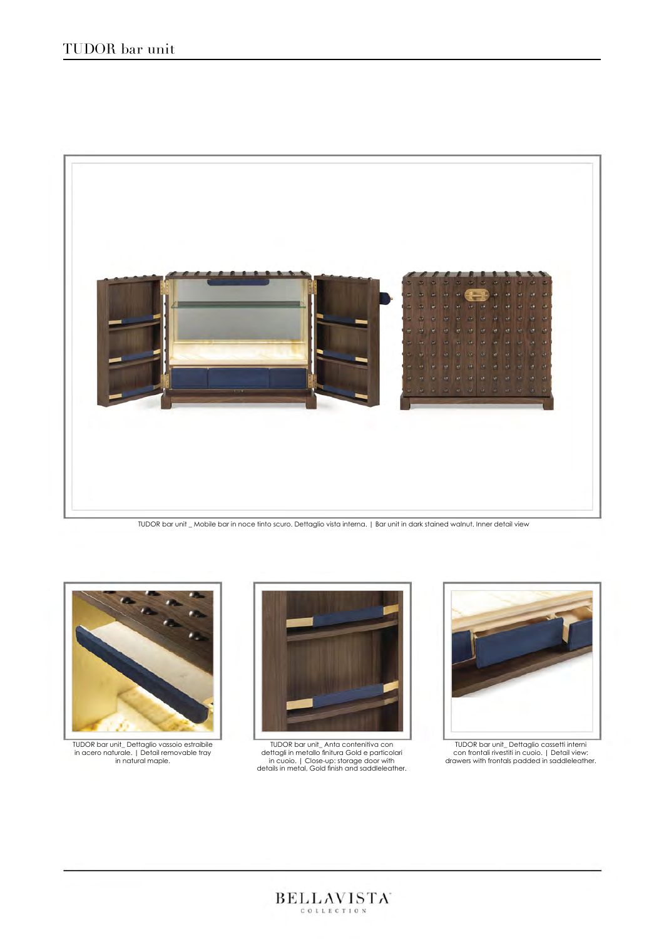

TUDOR bar unit \_ Mobile bar in noce tinto scuro. Dettaglio vista interna. | Bar unit in dark stained walnut. Inner detail view



TUDOR bar unit\_ Dettaglio vassoio estraibile in acero naturale. | Detail removable tray in natural maple.



TUDOR bar unit\_ Anta contenitiva con dettagli in metallo finitura Gold e particolari in cuoio. | Close-up: storage door with details in metal, Gold finish and saddleleather.

 $\text{BEL} \underset{\text{center of the original}}{\text{LAL}} \text{AMISTA}$ 



TUDOR bar unit\_ Dettaglio cassetti interni con frontali rivestiti in cuoio. | Detail view: drawers with frontals padded in saddleleather.